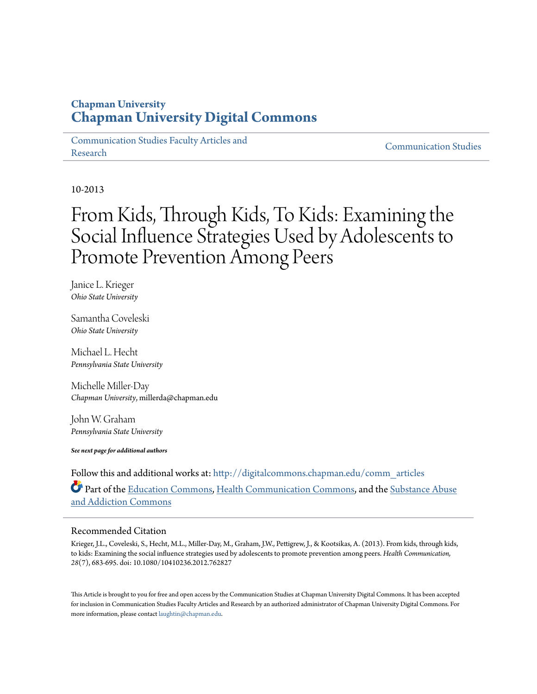# **Chapman University [Chapman University Digital Commons](http://digitalcommons.chapman.edu?utm_source=digitalcommons.chapman.edu%2Fcomm_articles%2F3&utm_medium=PDF&utm_campaign=PDFCoverPages)**

[Communication Studies Faculty Articles and](http://digitalcommons.chapman.edu/comm_articles?utm_source=digitalcommons.chapman.edu%2Fcomm_articles%2F3&utm_medium=PDF&utm_campaign=PDFCoverPages) [Research](http://digitalcommons.chapman.edu/comm_articles?utm_source=digitalcommons.chapman.edu%2Fcomm_articles%2F3&utm_medium=PDF&utm_campaign=PDFCoverPages) [Communication Studies](http://digitalcommons.chapman.edu/communication?utm_source=digitalcommons.chapman.edu%2Fcomm_articles%2F3&utm_medium=PDF&utm_campaign=PDFCoverPages)

10-2013

# From Kids, Through Kids, To Kids: Examining the Social Influence Strategies Used by Adolescents to Promote Prevention Among Peers

Janice L. Krieger *Ohio State University*

Samantha Coveleski *Ohio State University*

Michael L. Hecht *Pennsylvania State University*

Michelle Miller-Day *Chapman University*, millerda@chapman.edu

John W. Graham *Pennsylvania State University*

*See next page for additional authors*

Follow this and additional works at: [http://digitalcommons.chapman.edu/comm\\_articles](http://digitalcommons.chapman.edu/comm_articles?utm_source=digitalcommons.chapman.edu%2Fcomm_articles%2F3&utm_medium=PDF&utm_campaign=PDFCoverPages) Part of the [Education Commons](http://network.bepress.com/hgg/discipline/784?utm_source=digitalcommons.chapman.edu%2Fcomm_articles%2F3&utm_medium=PDF&utm_campaign=PDFCoverPages), [Health Communication Commons](http://network.bepress.com/hgg/discipline/330?utm_source=digitalcommons.chapman.edu%2Fcomm_articles%2F3&utm_medium=PDF&utm_campaign=PDFCoverPages), and the [Substance Abuse](http://network.bepress.com/hgg/discipline/710?utm_source=digitalcommons.chapman.edu%2Fcomm_articles%2F3&utm_medium=PDF&utm_campaign=PDFCoverPages) [and Addiction Commons](http://network.bepress.com/hgg/discipline/710?utm_source=digitalcommons.chapman.edu%2Fcomm_articles%2F3&utm_medium=PDF&utm_campaign=PDFCoverPages)

## Recommended Citation

Krieger, J.L., Coveleski, S., Hecht, M.L., Miller-Day, M., Graham, J.W., Pettigrew, J., & Kootsikas, A. (2013). From kids, through kids, to kids: Examining the social influence strategies used by adolescents to promote prevention among peers. *Health Communication, 28*(7), 683-695. doi: 10.1080/10410236.2012.762827

This Article is brought to you for free and open access by the Communication Studies at Chapman University Digital Commons. It has been accepted for inclusion in Communication Studies Faculty Articles and Research by an authorized administrator of Chapman University Digital Commons. For more information, please contact [laughtin@chapman.edu](mailto:laughtin@chapman.edu).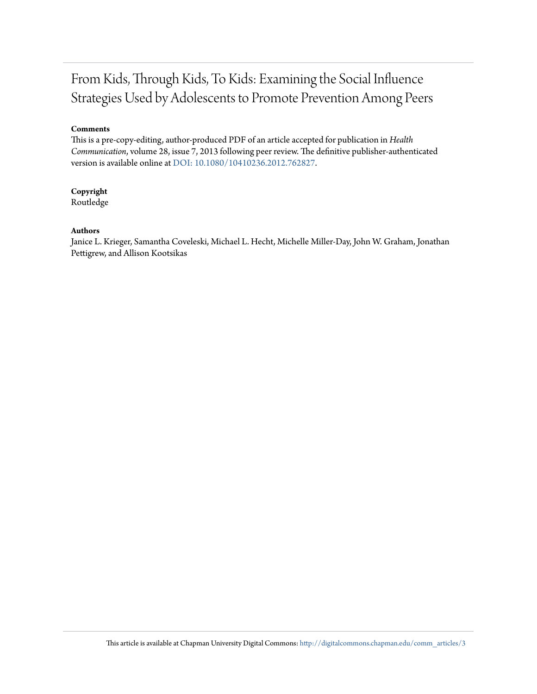# From Kids, Through Kids, To Kids: Examining the Social Influence Strategies Used by Adolescents to Promote Prevention Among Peers

#### **Comments**

This is a pre-copy-editing, author-produced PDF of an article accepted for publication in *Health Communication*, volume 28, issue 7, 2013 following peer review. The definitive publisher-authenticated version is available online at [DOI: 10.1080/10410236.2012.762827](http://dx.doi.org/10.1080/10410236.2012.762827).

# **Copyright**

Routledge

#### **Authors**

Janice L. Krieger, Samantha Coveleski, Michael L. Hecht, Michelle Miller-Day, John W. Graham, Jonathan Pettigrew, and Allison Kootsikas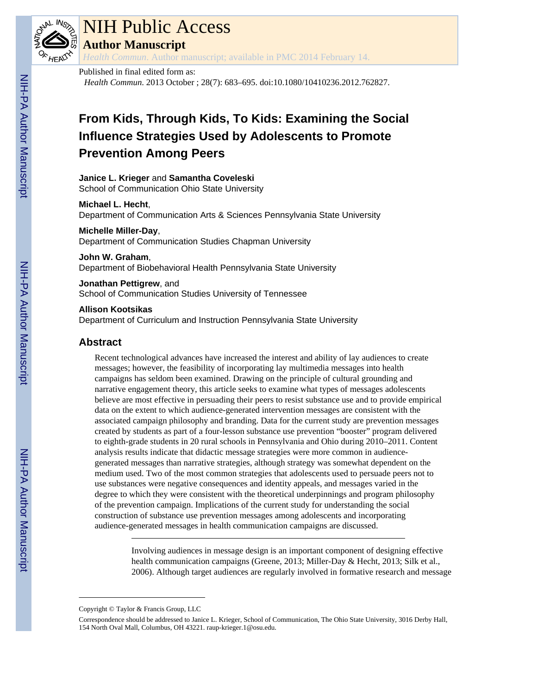

# NIH Public Access

**Author Manuscript**

*Health Commun*. Author manuscript; available in PMC 2014 February 14.

# Published in final edited form as:

*Health Commun*. 2013 October ; 28(7): 683–695. doi:10.1080/10410236.2012.762827.

# **From Kids, Through Kids, To Kids: Examining the Social Influence Strategies Used by Adolescents to Promote Prevention Among Peers**

# **Janice L. Krieger** and **Samantha Coveleski**

School of Communication Ohio State University

#### **Michael L. Hecht**,

Department of Communication Arts & Sciences Pennsylvania State University

## **Michelle Miller-Day**,

Department of Communication Studies Chapman University

#### **John W. Graham**,

Department of Biobehavioral Health Pennsylvania State University

## **Jonathan Pettigrew**, and

School of Communication Studies University of Tennessee

#### **Allison Kootsikas**

Department of Curriculum and Instruction Pennsylvania State University

# **Abstract**

Recent technological advances have increased the interest and ability of lay audiences to create messages; however, the feasibility of incorporating lay multimedia messages into health campaigns has seldom been examined. Drawing on the principle of cultural grounding and narrative engagement theory, this article seeks to examine what types of messages adolescents believe are most effective in persuading their peers to resist substance use and to provide empirical data on the extent to which audience-generated intervention messages are consistent with the associated campaign philosophy and branding. Data for the current study are prevention messages created by students as part of a four-lesson substance use prevention "booster" program delivered to eighth-grade students in 20 rural schools in Pennsylvania and Ohio during 2010–2011. Content analysis results indicate that didactic message strategies were more common in audiencegenerated messages than narrative strategies, although strategy was somewhat dependent on the medium used. Two of the most common strategies that adolescents used to persuade peers not to use substances were negative consequences and identity appeals, and messages varied in the degree to which they were consistent with the theoretical underpinnings and program philosophy of the prevention campaign. Implications of the current study for understanding the social construction of substance use prevention messages among adolescents and incorporating audience-generated messages in health communication campaigns are discussed.

> Involving audiences in message design is an important component of designing effective health communication campaigns (Greene, 2013; Miller-Day & Hecht, 2013; Silk et al., 2006). Although target audiences are regularly involved in formative research and message

Copyright © Taylor & Francis Group, LLC

Correspondence should be addressed to Janice L. Krieger, School of Communication, The Ohio State University, 3016 Derby Hall, 154 North Oval Mall, Columbus, OH 43221. raup-krieger.1@osu.edu.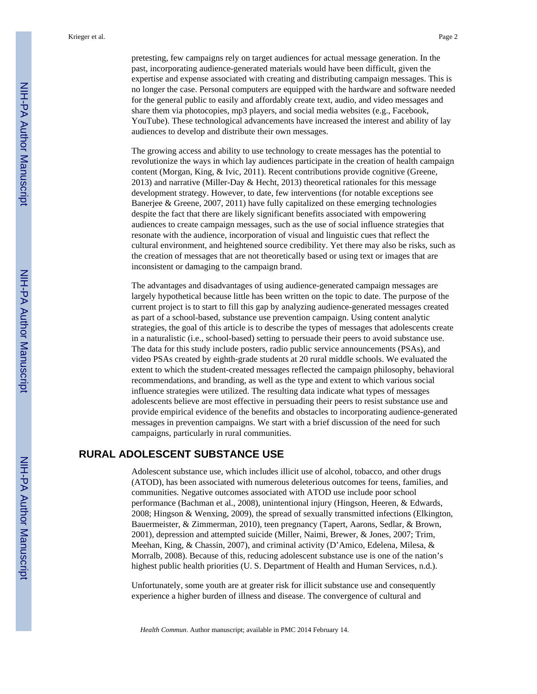pretesting, few campaigns rely on target audiences for actual message generation. In the past, incorporating audience-generated materials would have been difficult, given the expertise and expense associated with creating and distributing campaign messages. This is no longer the case. Personal computers are equipped with the hardware and software needed for the general public to easily and affordably create text, audio, and video messages and share them via photocopies, mp3 players, and social media websites (e.g., Facebook, YouTube). These technological advancements have increased the interest and ability of lay audiences to develop and distribute their own messages.

The growing access and ability to use technology to create messages has the potential to revolutionize the ways in which lay audiences participate in the creation of health campaign content (Morgan, King, & Ivic, 2011). Recent contributions provide cognitive (Greene, 2013) and narrative (Miller-Day & Hecht, 2013) theoretical rationales for this message development strategy. However, to date, few interventions (for notable exceptions see Banerjee & Greene, 2007, 2011) have fully capitalized on these emerging technologies despite the fact that there are likely significant benefits associated with empowering audiences to create campaign messages, such as the use of social influence strategies that resonate with the audience, incorporation of visual and linguistic cues that reflect the cultural environment, and heightened source credibility. Yet there may also be risks, such as the creation of messages that are not theoretically based or using text or images that are inconsistent or damaging to the campaign brand.

The advantages and disadvantages of using audience-generated campaign messages are largely hypothetical because little has been written on the topic to date. The purpose of the current project is to start to fill this gap by analyzing audience-generated messages created as part of a school-based, substance use prevention campaign. Using content analytic strategies, the goal of this article is to describe the types of messages that adolescents create in a naturalistic (i.e., school-based) setting to persuade their peers to avoid substance use. The data for this study include posters, radio public service announcements (PSAs), and video PSAs created by eighth-grade students at 20 rural middle schools. We evaluated the extent to which the student-created messages reflected the campaign philosophy, behavioral recommendations, and branding, as well as the type and extent to which various social influence strategies were utilized. The resulting data indicate what types of messages adolescents believe are most effective in persuading their peers to resist substance use and provide empirical evidence of the benefits and obstacles to incorporating audience-generated messages in prevention campaigns. We start with a brief discussion of the need for such campaigns, particularly in rural communities.

# **RURAL ADOLESCENT SUBSTANCE USE**

Adolescent substance use, which includes illicit use of alcohol, tobacco, and other drugs (ATOD), has been associated with numerous deleterious outcomes for teens, families, and communities. Negative outcomes associated with ATOD use include poor school performance (Bachman et al., 2008), unintentional injury (Hingson, Heeren, & Edwards, 2008; Hingson & Wenxing, 2009), the spread of sexually transmitted infections (Elkington, Bauermeister, & Zimmerman, 2010), teen pregnancy (Tapert, Aarons, Sedlar, & Brown, 2001), depression and attempted suicide (Miller, Naimi, Brewer, & Jones, 2007; Trim, Meehan, King, & Chassin, 2007), and criminal activity (D'Amico, Edelena, Milesa, & Morralb, 2008). Because of this, reducing adolescent substance use is one of the nation's highest public health priorities (U. S. Department of Health and Human Services, n.d.).

Unfortunately, some youth are at greater risk for illicit substance use and consequently experience a higher burden of illness and disease. The convergence of cultural and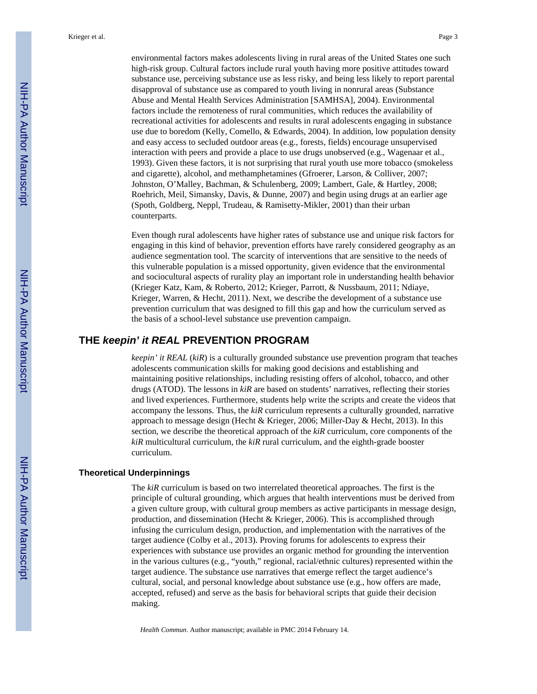environmental factors makes adolescents living in rural areas of the United States one such high-risk group. Cultural factors include rural youth having more positive attitudes toward substance use, perceiving substance use as less risky, and being less likely to report parental disapproval of substance use as compared to youth living in nonrural areas (Substance Abuse and Mental Health Services Administration [SAMHSA], 2004). Environmental factors include the remoteness of rural communities, which reduces the availability of recreational activities for adolescents and results in rural adolescents engaging in substance use due to boredom (Kelly, Comello, & Edwards, 2004). In addition, low population density and easy access to secluded outdoor areas (e.g., forests, fields) encourage unsupervised interaction with peers and provide a place to use drugs unobserved (e.g., Wagenaar et al., 1993). Given these factors, it is not surprising that rural youth use more tobacco (smokeless and cigarette), alcohol, and methamphetamines (Gfroerer, Larson, & Colliver, 2007; Johnston, O'Malley, Bachman, & Schulenberg, 2009; Lambert, Gale, & Hartley, 2008; Roehrich, Meil, Simansky, Davis, & Dunne, 2007) and begin using drugs at an earlier age (Spoth, Goldberg, Neppl, Trudeau, & Ramisetty-Mikler, 2001) than their urban counterparts.

Even though rural adolescents have higher rates of substance use and unique risk factors for engaging in this kind of behavior, prevention efforts have rarely considered geography as an audience segmentation tool. The scarcity of interventions that are sensitive to the needs of this vulnerable population is a missed opportunity, given evidence that the environmental and sociocultural aspects of rurality play an important role in understanding health behavior (Krieger Katz, Kam, & Roberto, 2012; Krieger, Parrott, & Nussbaum, 2011; Ndiaye, Krieger, Warren, & Hecht, 2011). Next, we describe the development of a substance use prevention curriculum that was designed to fill this gap and how the curriculum served as the basis of a school-level substance use prevention campaign.

## **THE** *keepin' it REAL* **PREVENTION PROGRAM**

*keepin' it REAL* (*kiR*) is a culturally grounded substance use prevention program that teaches adolescents communication skills for making good decisions and establishing and maintaining positive relationships, including resisting offers of alcohol, tobacco, and other drugs (ATOD). The lessons in *kiR* are based on students' narratives, reflecting their stories and lived experiences. Furthermore, students help write the scripts and create the videos that accompany the lessons. Thus, the *kiR* curriculum represents a culturally grounded, narrative approach to message design (Hecht & Krieger, 2006; Miller-Day & Hecht, 2013). In this section, we describe the theoretical approach of the *kiR* curriculum, core components of the *kiR* multicultural curriculum, the *kiR* rural curriculum, and the eighth-grade booster curriculum.

#### **Theoretical Underpinnings**

The *kiR* curriculum is based on two interrelated theoretical approaches. The first is the principle of cultural grounding, which argues that health interventions must be derived from a given culture group, with cultural group members as active participants in message design, production, and dissemination (Hecht & Krieger, 2006). This is accomplished through infusing the curriculum design, production, and implementation with the narratives of the target audience (Colby et al., 2013). Proving forums for adolescents to express their experiences with substance use provides an organic method for grounding the intervention in the various cultures (e.g., "youth," regional, racial/ethnic cultures) represented within the target audience. The substance use narratives that emerge reflect the target audience's cultural, social, and personal knowledge about substance use (e.g., how offers are made, accepted, refused) and serve as the basis for behavioral scripts that guide their decision making.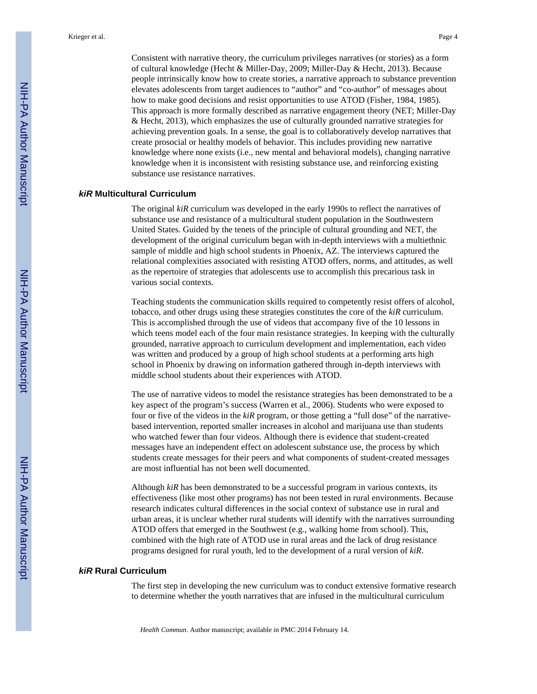Consistent with narrative theory, the curriculum privileges narratives (or stories) as a form of cultural knowledge (Hecht & Miller-Day, 2009; Miller-Day & Hecht, 2013). Because people intrinsically know how to create stories, a narrative approach to substance prevention elevates adolescents from target audiences to "author" and "co-author" of messages about how to make good decisions and resist opportunities to use ATOD (Fisher, 1984, 1985). This approach is more formally described as narrative engagement theory (NET; Miller-Day & Hecht, 2013), which emphasizes the use of culturally grounded narrative strategies for achieving prevention goals. In a sense, the goal is to collaboratively develop narratives that create prosocial or healthy models of behavior. This includes providing new narrative knowledge where none exists (i.e., new mental and behavioral models), changing narrative knowledge when it is inconsistent with resisting substance use, and reinforcing existing substance use resistance narratives.

#### *kiR* **Multicultural Curriculum**

The original *kiR* curriculum was developed in the early 1990s to reflect the narratives of substance use and resistance of a multicultural student population in the Southwestern United States. Guided by the tenets of the principle of cultural grounding and NET, the development of the original curriculum began with in-depth interviews with a multiethnic sample of middle and high school students in Phoenix, AZ. The interviews captured the relational complexities associated with resisting ATOD offers, norms, and attitudes, as well as the repertoire of strategies that adolescents use to accomplish this precarious task in various social contexts.

Teaching students the communication skills required to competently resist offers of alcohol, tobacco, and other drugs using these strategies constitutes the core of the *kiR* curriculum. This is accomplished through the use of videos that accompany five of the 10 lessons in which teens model each of the four main resistance strategies. In keeping with the culturally grounded, narrative approach to curriculum development and implementation, each video was written and produced by a group of high school students at a performing arts high school in Phoenix by drawing on information gathered through in-depth interviews with middle school students about their experiences with ATOD.

The use of narrative videos to model the resistance strategies has been demonstrated to be a key aspect of the program's success (Warren et al., 2006). Students who were exposed to four or five of the videos in the *kiR* program, or those getting a "full dose" of the narrativebased intervention, reported smaller increases in alcohol and marijuana use than students who watched fewer than four videos. Although there is evidence that student-created messages have an independent effect on adolescent substance use, the process by which students create messages for their peers and what components of student-created messages are most influential has not been well documented.

Although *kiR* has been demonstrated to be a successful program in various contexts, its effectiveness (like most other programs) has not been tested in rural environments. Because research indicates cultural differences in the social context of substance use in rural and urban areas, it is unclear whether rural students will identify with the narratives surrounding ATOD offers that emerged in the Southwest (e.g., walking home from school). This, combined with the high rate of ATOD use in rural areas and the lack of drug resistance programs designed for rural youth, led to the development of a rural version of *kiR*.

#### *kiR* **Rural Curriculum**

The first step in developing the new curriculum was to conduct extensive formative research to determine whether the youth narratives that are infused in the multicultural curriculum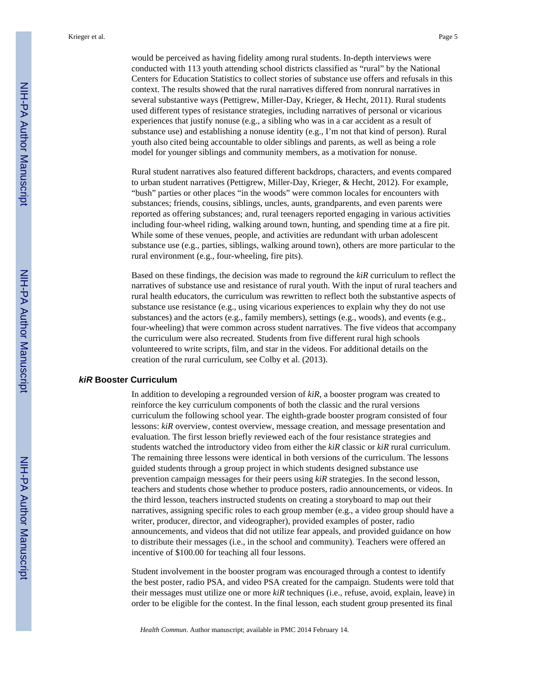would be perceived as having fidelity among rural students. In-depth interviews were conducted with 113 youth attending school districts classified as "rural" by the National Centers for Education Statistics to collect stories of substance use offers and refusals in this context. The results showed that the rural narratives differed from nonrural narratives in several substantive ways (Pettigrew, Miller-Day, Krieger, & Hecht, 2011). Rural students used different types of resistance strategies, including narratives of personal or vicarious experiences that justify nonuse (e.g., a sibling who was in a car accident as a result of substance use) and establishing a nonuse identity (e.g., I'm not that kind of person). Rural youth also cited being accountable to older siblings and parents, as well as being a role model for younger siblings and community members, as a motivation for nonuse.

Rural student narratives also featured different backdrops, characters, and events compared to urban student narratives (Pettigrew, Miller-Day, Krieger, & Hecht, 2012). For example, "bush" parties or other places "in the woods" were common locales for encounters with substances; friends, cousins, siblings, uncles, aunts, grandparents, and even parents were reported as offering substances; and, rural teenagers reported engaging in various activities including four-wheel riding, walking around town, hunting, and spending time at a fire pit. While some of these venues, people, and activities are redundant with urban adolescent substance use (e.g., parties, siblings, walking around town), others are more particular to the rural environment (e.g., four-wheeling, fire pits).

Based on these findings, the decision was made to reground the *kiR* curriculum to reflect the narratives of substance use and resistance of rural youth. With the input of rural teachers and rural health educators, the curriculum was rewritten to reflect both the substantive aspects of substance use resistance (e.g., using vicarious experiences to explain why they do not use substances) and the actors (e.g., family members), settings (e.g., woods), and events (e.g., four-wheeling) that were common across student narratives. The five videos that accompany the curriculum were also recreated. Students from five different rural high schools volunteered to write scripts, film, and star in the videos. For additional details on the creation of the rural curriculum, see Colby et al. (2013).

#### *kiR* **Booster Curriculum**

In addition to developing a regrounded version of *kiR*, a booster program was created to reinforce the key curriculum components of both the classic and the rural versions curriculum the following school year. The eighth-grade booster program consisted of four lessons:  $k/R$  overview, contest overview, message creation, and message presentation and evaluation. The first lesson briefly reviewed each of the four resistance strategies and students watched the introductory video from either the *kiR* classic or *kiR* rural curriculum. The remaining three lessons were identical in both versions of the curriculum. The lessons guided students through a group project in which students designed substance use prevention campaign messages for their peers using *kiR* strategies. In the second lesson, teachers and students chose whether to produce posters, radio announcements, or videos. In the third lesson, teachers instructed students on creating a storyboard to map out their narratives, assigning specific roles to each group member (e.g., a video group should have a writer, producer, director, and videographer), provided examples of poster, radio announcements, and videos that did not utilize fear appeals, and provided guidance on how to distribute their messages (i.e., in the school and community). Teachers were offered an incentive of \$100.00 for teaching all four lessons.

Student involvement in the booster program was encouraged through a contest to identify the best poster, radio PSA, and video PSA created for the campaign. Students were told that their messages must utilize one or more *kiR* techniques (i.e., refuse, avoid, explain, leave) in order to be eligible for the contest. In the final lesson, each student group presented its final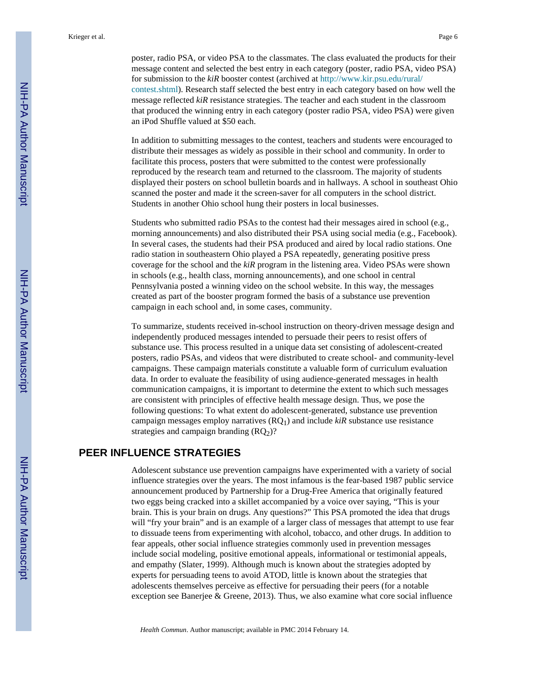poster, radio PSA, or video PSA to the classmates. The class evaluated the products for their message content and selected the best entry in each category (poster, radio PSA, video PSA) for submission to the *kiR* booster contest (archived at [http://www.kir.psu.edu/rural/](http://www.kir.psu.edu/rural/contest.shtml) [contest.shtml](http://www.kir.psu.edu/rural/contest.shtml)). Research staff selected the best entry in each category based on how well the message reflected *kiR* resistance strategies. The teacher and each student in the classroom that produced the winning entry in each category (poster radio PSA, video PSA) were given an iPod Shuffle valued at \$50 each.

In addition to submitting messages to the contest, teachers and students were encouraged to distribute their messages as widely as possible in their school and community. In order to facilitate this process, posters that were submitted to the contest were professionally reproduced by the research team and returned to the classroom. The majority of students displayed their posters on school bulletin boards and in hallways. A school in southeast Ohio scanned the poster and made it the screen-saver for all computers in the school district. Students in another Ohio school hung their posters in local businesses.

Students who submitted radio PSAs to the contest had their messages aired in school (e.g., morning announcements) and also distributed their PSA using social media (e.g., Facebook). In several cases, the students had their PSA produced and aired by local radio stations. One radio station in southeastern Ohio played a PSA repeatedly, generating positive press coverage for the school and the *kiR* program in the listening area. Video PSAs were shown in schools (e.g., health class, morning announcements), and one school in central Pennsylvania posted a winning video on the school website. In this way, the messages created as part of the booster program formed the basis of a substance use prevention campaign in each school and, in some cases, community.

To summarize, students received in-school instruction on theory-driven message design and independently produced messages intended to persuade their peers to resist offers of substance use. This process resulted in a unique data set consisting of adolescent-created posters, radio PSAs, and videos that were distributed to create school- and community-level campaigns. These campaign materials constitute a valuable form of curriculum evaluation data. In order to evaluate the feasibility of using audience-generated messages in health communication campaigns, it is important to determine the extent to which such messages are consistent with principles of effective health message design. Thus, we pose the following questions: To what extent do adolescent-generated, substance use prevention campaign messages employ narratives (RQ1) and include *kiR* substance use resistance strategies and campaign branding  $(RQ<sub>2</sub>)$ ?

## **PEER INFLUENCE STRATEGIES**

Adolescent substance use prevention campaigns have experimented with a variety of social influence strategies over the years. The most infamous is the fear-based 1987 public service announcement produced by Partnership for a Drug-Free America that originally featured two eggs being cracked into a skillet accompanied by a voice over saying, "This is your brain. This is your brain on drugs. Any questions?" This PSA promoted the idea that drugs will "fry your brain" and is an example of a larger class of messages that attempt to use fear to dissuade teens from experimenting with alcohol, tobacco, and other drugs. In addition to fear appeals, other social influence strategies commonly used in prevention messages include social modeling, positive emotional appeals, informational or testimonial appeals, and empathy (Slater, 1999). Although much is known about the strategies adopted by experts for persuading teens to avoid ATOD, little is known about the strategies that adolescents themselves perceive as effective for persuading their peers (for a notable exception see Banerjee & Greene, 2013). Thus, we also examine what core social influence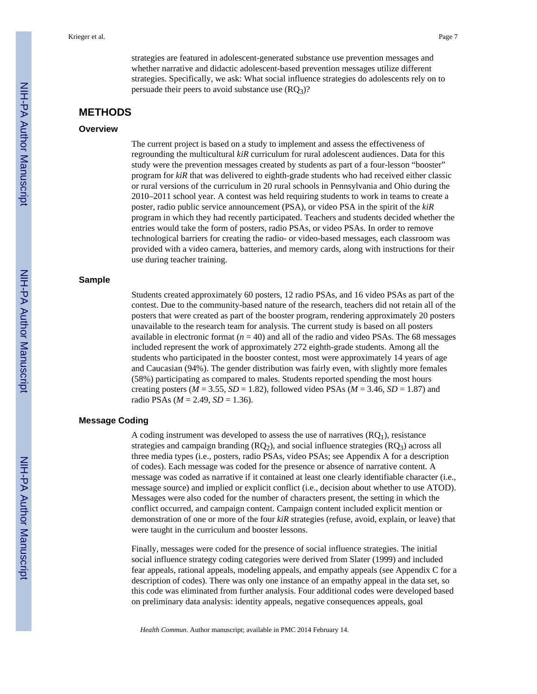strategies are featured in adolescent-generated substance use prevention messages and whether narrative and didactic adolescent-based prevention messages utilize different strategies. Specifically, we ask: What social influence strategies do adolescents rely on to persuade their peers to avoid substance use  $(RQ_3)$ ?

# **METHODS**

#### **Overview**

The current project is based on a study to implement and assess the effectiveness of regrounding the multicultural *kiR* curriculum for rural adolescent audiences. Data for this study were the prevention messages created by students as part of a four-lesson "booster" program for *kiR* that was delivered to eighth-grade students who had received either classic or rural versions of the curriculum in 20 rural schools in Pennsylvania and Ohio during the 2010–2011 school year. A contest was held requiring students to work in teams to create a poster, radio public service announcement (PSA), or video PSA in the spirit of the *kiR* program in which they had recently participated. Teachers and students decided whether the entries would take the form of posters, radio PSAs, or video PSAs. In order to remove technological barriers for creating the radio- or video-based messages, each classroom was provided with a video camera, batteries, and memory cards, along with instructions for their use during teacher training.

#### **Sample**

Students created approximately 60 posters, 12 radio PSAs, and 16 video PSAs as part of the contest. Due to the community-based nature of the research, teachers did not retain all of the posters that were created as part of the booster program, rendering approximately 20 posters unavailable to the research team for analysis. The current study is based on all posters available in electronic format  $(n = 40)$  and all of the radio and video PSAs. The 68 messages included represent the work of approximately 272 eighth-grade students. Among all the students who participated in the booster contest, most were approximately 14 years of age and Caucasian (94%). The gender distribution was fairly even, with slightly more females (58%) participating as compared to males. Students reported spending the most hours creating posters ( $M = 3.55$ ,  $SD = 1.82$ ), followed video PSAs ( $M = 3.46$ ,  $SD = 1.87$ ) and radio PSAs ( $M = 2.49$ ,  $SD = 1.36$ ).

#### **Message Coding**

A coding instrument was developed to assess the use of narratives  $(RO<sub>1</sub>)$ , resistance strategies and campaign branding  $(RQ<sub>2</sub>)$ , and social influence strategies  $(RQ<sub>3</sub>)$  across all three media types (i.e., posters, radio PSAs, video PSAs; see Appendix A for a description of codes). Each message was coded for the presence or absence of narrative content. A message was coded as narrative if it contained at least one clearly identifiable character (i.e., message source) and implied or explicit conflict (i.e., decision about whether to use ATOD). Messages were also coded for the number of characters present, the setting in which the conflict occurred, and campaign content. Campaign content included explicit mention or demonstration of one or more of the four *kiR* strategies (refuse, avoid, explain, or leave) that were taught in the curriculum and booster lessons.

Finally, messages were coded for the presence of social influence strategies. The initial social influence strategy coding categories were derived from Slater (1999) and included fear appeals, rational appeals, modeling appeals, and empathy appeals (see Appendix C for a description of codes). There was only one instance of an empathy appeal in the data set, so this code was eliminated from further analysis. Four additional codes were developed based on preliminary data analysis: identity appeals, negative consequences appeals, goal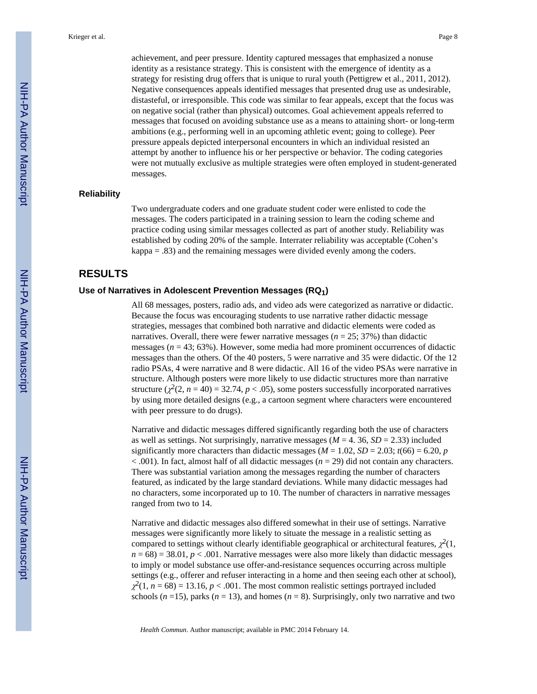achievement, and peer pressure. Identity captured messages that emphasized a nonuse identity as a resistance strategy. This is consistent with the emergence of identity as a strategy for resisting drug offers that is unique to rural youth (Pettigrew et al., 2011, 2012). Negative consequences appeals identified messages that presented drug use as undesirable, distasteful, or irresponsible. This code was similar to fear appeals, except that the focus was on negative social (rather than physical) outcomes. Goal achievement appeals referred to messages that focused on avoiding substance use as a means to attaining short- or long-term ambitions (e.g., performing well in an upcoming athletic event; going to college). Peer pressure appeals depicted interpersonal encounters in which an individual resisted an attempt by another to influence his or her perspective or behavior. The coding categories were not mutually exclusive as multiple strategies were often employed in student-generated messages.

#### **Reliability**

Two undergraduate coders and one graduate student coder were enlisted to code the messages. The coders participated in a training session to learn the coding scheme and practice coding using similar messages collected as part of another study. Reliability was established by coding 20% of the sample. Interrater reliability was acceptable (Cohen's kappa = .83) and the remaining messages were divided evenly among the coders.

#### **RESULTS**

#### **Use of Narratives in Adolescent Prevention Messages (RQ1)**

All 68 messages, posters, radio ads, and video ads were categorized as narrative or didactic. Because the focus was encouraging students to use narrative rather didactic message strategies, messages that combined both narrative and didactic elements were coded as narratives. Overall, there were fewer narrative messages ( $n = 25$ ; 37%) than didactic messages (*n* = 43; 63%). However, some media had more prominent occurrences of didactic messages than the others. Of the 40 posters, 5 were narrative and 35 were didactic. Of the 12 radio PSAs, 4 were narrative and 8 were didactic. All 16 of the video PSAs were narrative in structure. Although posters were more likely to use didactic structures more than narrative structure  $(\chi^2(2, n = 40) = 32.74, p < .05)$ , some posters successfully incorporated narratives by using more detailed designs (e.g., a cartoon segment where characters were encountered with peer pressure to do drugs).

Narrative and didactic messages differed significantly regarding both the use of characters as well as settings. Not surprisingly, narrative messages ( $M = 4$ , 36,  $SD = 2.33$ ) included significantly more characters than didactic messages ( $M = 1.02$ ,  $SD = 2.03$ ;  $t(66) = 6.20$ , *p* < .001). In fact, almost half of all didactic messages (*n* = 29) did not contain any characters. There was substantial variation among the messages regarding the number of characters featured, as indicated by the large standard deviations. While many didactic messages had no characters, some incorporated up to 10. The number of characters in narrative messages ranged from two to 14.

Narrative and didactic messages also differed somewhat in their use of settings. Narrative messages were significantly more likely to situate the message in a realistic setting as compared to settings without clearly identifiable geographical or architectural features,  $\chi^2(1,$  $n = 68$  = 38.01,  $p < .001$ . Narrative messages were also more likely than didactic messages to imply or model substance use offer-and-resistance sequences occurring across multiple settings (e.g., offerer and refuser interacting in a home and then seeing each other at school),  $\chi^2(1, n = 68) = 13.16, p < .001$ . The most common realistic settings portrayed included schools ( $n = 15$ ), parks ( $n = 13$ ), and homes ( $n = 8$ ). Surprisingly, only two narrative and two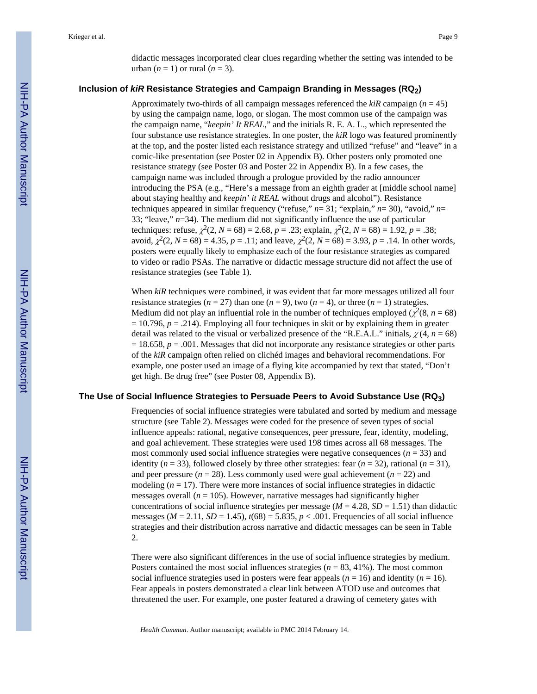didactic messages incorporated clear clues regarding whether the setting was intended to be urban  $(n = 1)$  or rural  $(n = 3)$ .

#### **Inclusion of** *kiR* **Resistance Strategies and Campaign Branding in Messages (RQ2)**

Approximately two-thirds of all campaign messages referenced the *kiR* campaign (*n* = 45) by using the campaign name, logo, or slogan. The most common use of the campaign was the campaign name, "*keepin' It REAL*," and the initials R. E. A. L., which represented the four substance use resistance strategies. In one poster, the *kiR* logo was featured prominently at the top, and the poster listed each resistance strategy and utilized "refuse" and "leave" in a comic-like presentation (see Poster 02 in Appendix B). Other posters only promoted one resistance strategy (see Poster 03 and Poster 22 in Appendix B). In a few cases, the campaign name was included through a prologue provided by the radio announcer introducing the PSA (e.g., "Here's a message from an eighth grader at [middle school name] about staying healthy and *keepin' it REAL* without drugs and alcohol"). Resistance techniques appeared in similar frequency ("refuse," *n*= 31; "explain," *n*= 30), "avoid," *n*= 33; "leave," *n*=34). The medium did not significantly influence the use of particular techniques: refuse,  $\chi^2(2, N = 68) = 2.68$ ,  $p = .23$ ; explain,  $\chi^2(2, N = 68) = 1.92$ ,  $p = .38$ ; avoid,  $\chi^2(2, N = 68) = 4.35$ ,  $p = .11$ ; and leave,  $\chi^2(2, N = 68) = 3.93$ ,  $p = .14$ . In other words, posters were equally likely to emphasize each of the four resistance strategies as compared to video or radio PSAs. The narrative or didactic message structure did not affect the use of resistance strategies (see Table 1).

When *kiR* techniques were combined, it was evident that far more messages utilized all four resistance strategies ( $n = 27$ ) than one ( $n = 9$ ), two ( $n = 4$ ), or three ( $n = 1$ ) strategies. Medium did not play an influential role in the number of techniques employed ( $\chi^2(8, n = 68)$ )  $= 10.796$ ,  $p = .214$ ). Employing all four techniques in skit or by explaining them in greater detail was related to the visual or verbalized presence of the "R.E.A.L." initials,  $\chi$ (4, *n* = 68)  $= 18.658$ ,  $p = .001$ . Messages that did not incorporate any resistance strategies or other parts of the *kiR* campaign often relied on clichéd images and behavioral recommendations. For example, one poster used an image of a flying kite accompanied by text that stated, "Don't get high. Be drug free" (see Poster 08, Appendix B).

#### **The Use of Social Influence Strategies to Persuade Peers to Avoid Substance Use (RQ3)**

Frequencies of social influence strategies were tabulated and sorted by medium and message structure (see Table 2). Messages were coded for the presence of seven types of social influence appeals: rational, negative consequences, peer pressure, fear, identity, modeling, and goal achievement. These strategies were used 198 times across all 68 messages. The most commonly used social influence strategies were negative consequences  $(n = 33)$  and identity ( $n = 33$ ), followed closely by three other strategies: fear ( $n = 32$ ), rational ( $n = 31$ ), and peer pressure  $(n = 28)$ . Less commonly used were goal achievement  $(n = 22)$  and modeling  $(n = 17)$ . There were more instances of social influence strategies in didactic messages overall ( $n = 105$ ). However, narrative messages had significantly higher concentrations of social influence strategies per message ( $M = 4.28$ ,  $SD = 1.51$ ) than didactic messages ( $M = 2.11$ ,  $SD = 1.45$ ),  $t(68) = 5.835$ ,  $p < .001$ . Frequencies of all social influence strategies and their distribution across narrative and didactic messages can be seen in Table 2.

There were also significant differences in the use of social influence strategies by medium. Posters contained the most social influences strategies ( $n = 83, 41\%$ ). The most common social influence strategies used in posters were fear appeals  $(n = 16)$  and identity  $(n = 16)$ . Fear appeals in posters demonstrated a clear link between ATOD use and outcomes that threatened the user. For example, one poster featured a drawing of cemetery gates with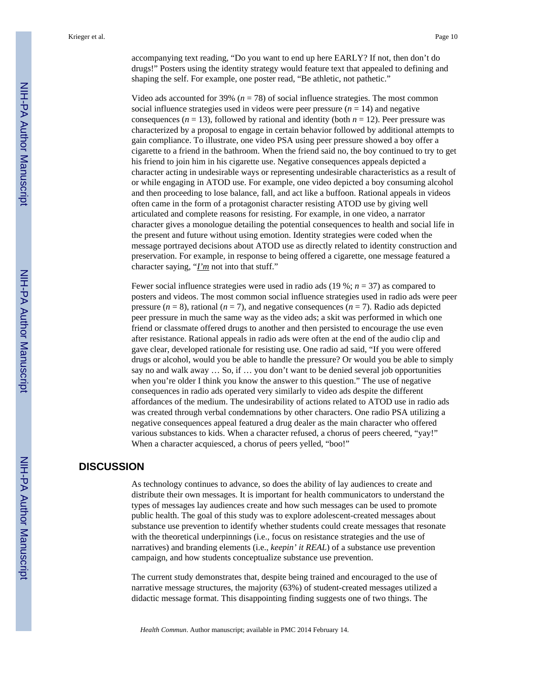accompanying text reading, "Do you want to end up here EARLY? If not, then don't do drugs!" Posters using the identity strategy would feature text that appealed to defining and shaping the self. For example, one poster read, "Be athletic, not pathetic."

Video ads accounted for 39% (*n* = 78) of social influence strategies. The most common social influence strategies used in videos were peer pressure  $(n = 14)$  and negative consequences ( $n = 13$ ), followed by rational and identity (both  $n = 12$ ). Peer pressure was characterized by a proposal to engage in certain behavior followed by additional attempts to gain compliance. To illustrate, one video PSA using peer pressure showed a boy offer a cigarette to a friend in the bathroom. When the friend said no, the boy continued to try to get his friend to join him in his cigarette use. Negative consequences appeals depicted a character acting in undesirable ways or representing undesirable characteristics as a result of or while engaging in ATOD use. For example, one video depicted a boy consuming alcohol and then proceeding to lose balance, fall, and act like a buffoon. Rational appeals in videos often came in the form of a protagonist character resisting ATOD use by giving well articulated and complete reasons for resisting. For example, in one video, a narrator character gives a monologue detailing the potential consequences to health and social life in the present and future without using emotion. Identity strategies were coded when the message portrayed decisions about ATOD use as directly related to identity construction and preservation. For example, in response to being offered a cigarette, one message featured a character saying, "*I'm* not into that stuff."

Fewer social influence strategies were used in radio ads (19 %; *n* = 37) as compared to posters and videos. The most common social influence strategies used in radio ads were peer pressure  $(n = 8)$ , rational  $(n = 7)$ , and negative consequences  $(n = 7)$ . Radio ads depicted peer pressure in much the same way as the video ads; a skit was performed in which one friend or classmate offered drugs to another and then persisted to encourage the use even after resistance. Rational appeals in radio ads were often at the end of the audio clip and gave clear, developed rationale for resisting use. One radio ad said, "If you were offered drugs or alcohol, would you be able to handle the pressure? Or would you be able to simply say no and walk away … So, if … you don't want to be denied several job opportunities when you're older I think you know the answer to this question." The use of negative consequences in radio ads operated very similarly to video ads despite the different affordances of the medium. The undesirability of actions related to ATOD use in radio ads was created through verbal condemnations by other characters. One radio PSA utilizing a negative consequences appeal featured a drug dealer as the main character who offered various substances to kids. When a character refused, a chorus of peers cheered, "yay!" When a character acquiesced, a chorus of peers yelled, "boo!"

## **DISCUSSION**

As technology continues to advance, so does the ability of lay audiences to create and distribute their own messages. It is important for health communicators to understand the types of messages lay audiences create and how such messages can be used to promote public health. The goal of this study was to explore adolescent-created messages about substance use prevention to identify whether students could create messages that resonate with the theoretical underpinnings (i.e., focus on resistance strategies and the use of narratives) and branding elements (i.e., *keepin' it REAL*) of a substance use prevention campaign, and how students conceptualize substance use prevention.

The current study demonstrates that, despite being trained and encouraged to the use of narrative message structures, the majority (63%) of student-created messages utilized a didactic message format. This disappointing finding suggests one of two things. The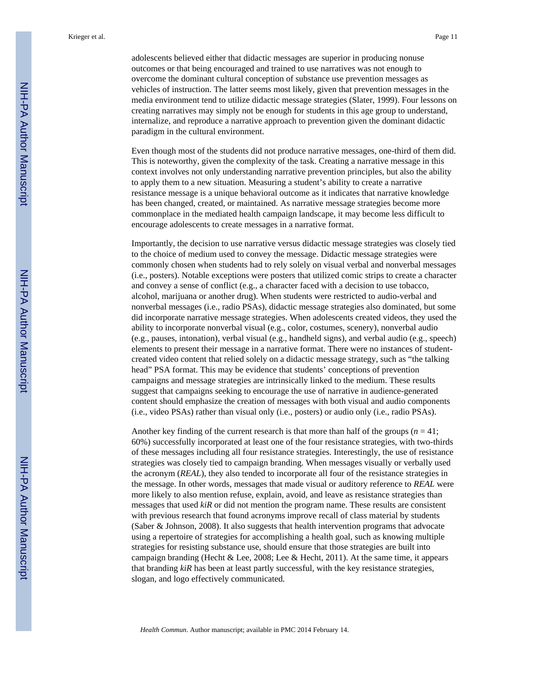adolescents believed either that didactic messages are superior in producing nonuse outcomes or that being encouraged and trained to use narratives was not enough to overcome the dominant cultural conception of substance use prevention messages as vehicles of instruction. The latter seems most likely, given that prevention messages in the media environment tend to utilize didactic message strategies (Slater, 1999). Four lessons on creating narratives may simply not be enough for students in this age group to understand, internalize, and reproduce a narrative approach to prevention given the dominant didactic paradigm in the cultural environment.

Even though most of the students did not produce narrative messages, one-third of them did. This is noteworthy, given the complexity of the task. Creating a narrative message in this context involves not only understanding narrative prevention principles, but also the ability to apply them to a new situation. Measuring a student's ability to create a narrative resistance message is a unique behavioral outcome as it indicates that narrative knowledge has been changed, created, or maintained. As narrative message strategies become more commonplace in the mediated health campaign landscape, it may become less difficult to encourage adolescents to create messages in a narrative format.

Importantly, the decision to use narrative versus didactic message strategies was closely tied to the choice of medium used to convey the message. Didactic message strategies were commonly chosen when students had to rely solely on visual verbal and nonverbal messages (i.e., posters). Notable exceptions were posters that utilized comic strips to create a character and convey a sense of conflict (e.g., a character faced with a decision to use tobacco, alcohol, marijuana or another drug). When students were restricted to audio-verbal and nonverbal messages (i.e., radio PSAs), didactic message strategies also dominated, but some did incorporate narrative message strategies. When adolescents created videos, they used the ability to incorporate nonverbal visual (e.g., color, costumes, scenery), nonverbal audio (e.g., pauses, intonation), verbal visual (e.g., handheld signs), and verbal audio (e.g., speech) elements to present their message in a narrative format. There were no instances of studentcreated video content that relied solely on a didactic message strategy, such as "the talking head" PSA format. This may be evidence that students' conceptions of prevention campaigns and message strategies are intrinsically linked to the medium. These results suggest that campaigns seeking to encourage the use of narrative in audience-generated content should emphasize the creation of messages with both visual and audio components (i.e., video PSAs) rather than visual only (i.e., posters) or audio only (i.e., radio PSAs).

Another key finding of the current research is that more than half of the groups  $(n = 41)$ ; 60%) successfully incorporated at least one of the four resistance strategies, with two-thirds of these messages including all four resistance strategies. Interestingly, the use of resistance strategies was closely tied to campaign branding. When messages visually or verbally used the acronym (*REAL*), they also tended to incorporate all four of the resistance strategies in the message. In other words, messages that made visual or auditory reference to *REAL* were more likely to also mention refuse, explain, avoid, and leave as resistance strategies than messages that used *kiR* or did not mention the program name. These results are consistent with previous research that found acronyms improve recall of class material by students (Saber & Johnson, 2008). It also suggests that health intervention programs that advocate using a repertoire of strategies for accomplishing a health goal, such as knowing multiple strategies for resisting substance use, should ensure that those strategies are built into campaign branding (Hecht & Lee, 2008; Lee & Hecht, 2011). At the same time, it appears that branding *kiR* has been at least partly successful, with the key resistance strategies, slogan, and logo effectively communicated.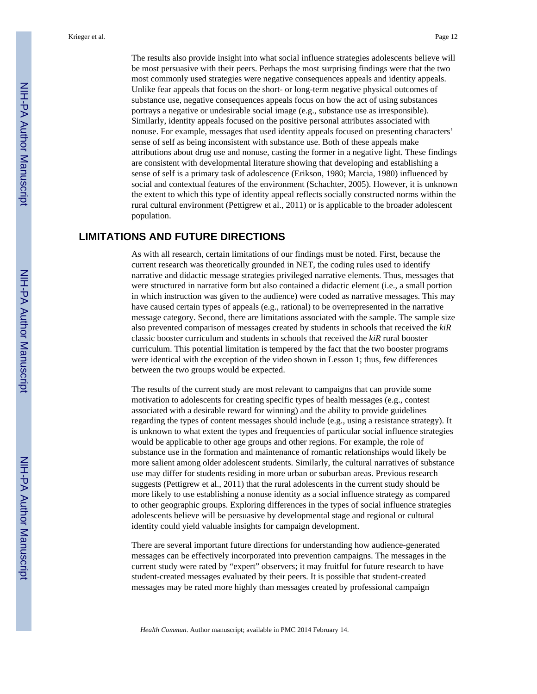The results also provide insight into what social influence strategies adolescents believe will be most persuasive with their peers. Perhaps the most surprising findings were that the two most commonly used strategies were negative consequences appeals and identity appeals. Unlike fear appeals that focus on the short- or long-term negative physical outcomes of substance use, negative consequences appeals focus on how the act of using substances portrays a negative or undesirable social image (e.g., substance use as irresponsible). Similarly, identity appeals focused on the positive personal attributes associated with nonuse. For example, messages that used identity appeals focused on presenting characters' sense of self as being inconsistent with substance use. Both of these appeals make attributions about drug use and nonuse, casting the former in a negative light. These findings are consistent with developmental literature showing that developing and establishing a sense of self is a primary task of adolescence (Erikson, 1980; Marcia, 1980) influenced by social and contextual features of the environment (Schachter, 2005). However, it is unknown the extent to which this type of identity appeal reflects socially constructed norms within the rural cultural environment (Pettigrew et al., 2011) or is applicable to the broader adolescent population.

# **LIMITATIONS AND FUTURE DIRECTIONS**

As with all research, certain limitations of our findings must be noted. First, because the current research was theoretically grounded in NET, the coding rules used to identify narrative and didactic message strategies privileged narrative elements. Thus, messages that were structured in narrative form but also contained a didactic element (i.e., a small portion in which instruction was given to the audience) were coded as narrative messages. This may have caused certain types of appeals (e.g., rational) to be overrepresented in the narrative message category. Second, there are limitations associated with the sample. The sample size also prevented comparison of messages created by students in schools that received the *kiR* classic booster curriculum and students in schools that received the *kiR* rural booster curriculum. This potential limitation is tempered by the fact that the two booster programs were identical with the exception of the video shown in Lesson 1; thus, few differences between the two groups would be expected.

The results of the current study are most relevant to campaigns that can provide some motivation to adolescents for creating specific types of health messages (e.g., contest associated with a desirable reward for winning) and the ability to provide guidelines regarding the types of content messages should include (e.g., using a resistance strategy). It is unknown to what extent the types and frequencies of particular social influence strategies would be applicable to other age groups and other regions. For example, the role of substance use in the formation and maintenance of romantic relationships would likely be more salient among older adolescent students. Similarly, the cultural narratives of substance use may differ for students residing in more urban or suburban areas. Previous research suggests (Pettigrew et al., 2011) that the rural adolescents in the current study should be more likely to use establishing a nonuse identity as a social influence strategy as compared to other geographic groups. Exploring differences in the types of social influence strategies adolescents believe will be persuasive by developmental stage and regional or cultural identity could yield valuable insights for campaign development.

There are several important future directions for understanding how audience-generated messages can be effectively incorporated into prevention campaigns. The messages in the current study were rated by "expert" observers; it may fruitful for future research to have student-created messages evaluated by their peers. It is possible that student-created messages may be rated more highly than messages created by professional campaign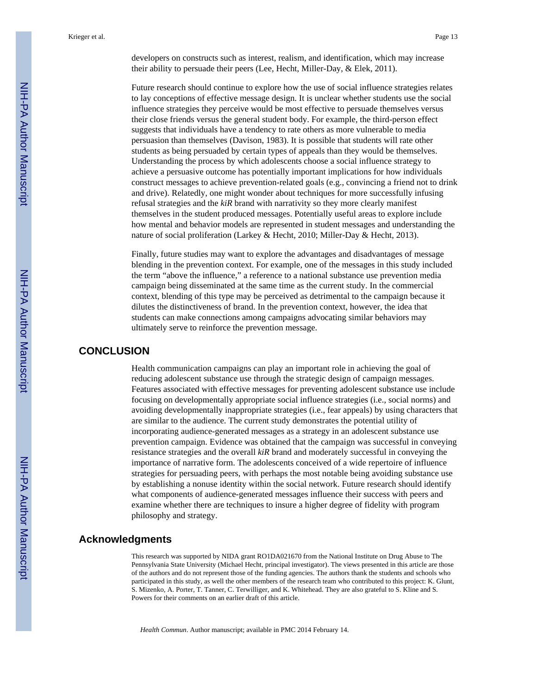developers on constructs such as interest, realism, and identification, which may increase their ability to persuade their peers (Lee, Hecht, Miller-Day, & Elek, 2011).

Future research should continue to explore how the use of social influence strategies relates to lay conceptions of effective message design. It is unclear whether students use the social influence strategies they perceive would be most effective to persuade themselves versus their close friends versus the general student body. For example, the third-person effect suggests that individuals have a tendency to rate others as more vulnerable to media persuasion than themselves (Davison, 1983). It is possible that students will rate other students as being persuaded by certain types of appeals than they would be themselves. Understanding the process by which adolescents choose a social influence strategy to achieve a persuasive outcome has potentially important implications for how individuals construct messages to achieve prevention-related goals (e.g., convincing a friend not to drink and drive). Relatedly, one might wonder about techniques for more successfully infusing refusal strategies and the *kiR* brand with narrativity so they more clearly manifest themselves in the student produced messages. Potentially useful areas to explore include how mental and behavior models are represented in student messages and understanding the nature of social proliferation (Larkey & Hecht, 2010; Miller-Day & Hecht, 2013).

Finally, future studies may want to explore the advantages and disadvantages of message blending in the prevention context. For example, one of the messages in this study included the term "above the influence," a reference to a national substance use prevention media campaign being disseminated at the same time as the current study. In the commercial context, blending of this type may be perceived as detrimental to the campaign because it dilutes the distinctiveness of brand. In the prevention context, however, the idea that students can make connections among campaigns advocating similar behaviors may ultimately serve to reinforce the prevention message.

## **CONCLUSION**

Health communication campaigns can play an important role in achieving the goal of reducing adolescent substance use through the strategic design of campaign messages. Features associated with effective messages for preventing adolescent substance use include focusing on developmentally appropriate social influence strategies (i.e., social norms) and avoiding developmentally inappropriate strategies (i.e., fear appeals) by using characters that are similar to the audience. The current study demonstrates the potential utility of incorporating audience-generated messages as a strategy in an adolescent substance use prevention campaign. Evidence was obtained that the campaign was successful in conveying resistance strategies and the overall *kiR* brand and moderately successful in conveying the importance of narrative form. The adolescents conceived of a wide repertoire of influence strategies for persuading peers, with perhaps the most notable being avoiding substance use by establishing a nonuse identity within the social network. Future research should identify what components of audience-generated messages influence their success with peers and examine whether there are techniques to insure a higher degree of fidelity with program philosophy and strategy.

#### **Acknowledgments**

This research was supported by NIDA grant RO1DA021670 from the National Institute on Drug Abuse to The Pennsylvania State University (Michael Hecht, principal investigator). The views presented in this article are those of the authors and do not represent those of the funding agencies. The authors thank the students and schools who participated in this study, as well the other members of the research team who contributed to this project: K. Glunt, S. Mizenko, A. Porter, T. Tanner, C. Terwilliger, and K. Whitehead. They are also grateful to S. Kline and S. Powers for their comments on an earlier draft of this article.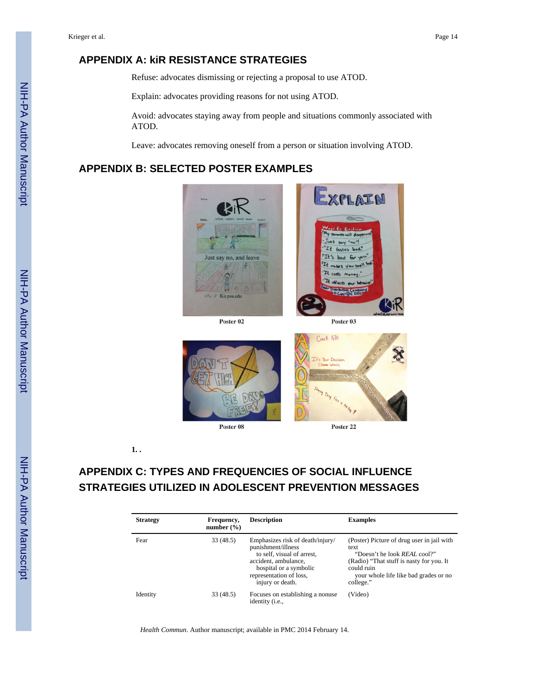# **APPENDIX A: kiR RESISTANCE STRATEGIES**

Refuse: advocates dismissing or rejecting a proposal to use ATOD.

Explain: advocates providing reasons for not using ATOD.

Avoid: advocates staying away from people and situations commonly associated with ATOD.

Leave: advocates removing oneself from a person or situation involving ATOD.

# **APPENDIX B: SELECTED POSTER EXAMPLES**



Poster 02





**1. .**

# **APPENDIX C: TYPES AND FREQUENCIES OF SOCIAL INFLUENCE STRATEGIES UTILIZED IN ADOLESCENT PREVENTION MESSAGES**

| <b>Strategy</b> | Frequency,<br>number $(\% )$ | <b>Description</b>                                                                                                                                                                    | <b>Examples</b>                                                                                                                                                                                           |
|-----------------|------------------------------|---------------------------------------------------------------------------------------------------------------------------------------------------------------------------------------|-----------------------------------------------------------------------------------------------------------------------------------------------------------------------------------------------------------|
| Fear            | 33(48.5)                     | Emphasizes risk of death/injury/<br>punishment/illness<br>to self, visual of arrest,<br>accident, ambulance,<br>hospital or a symbolic<br>representation of loss,<br>injury or death. | (Poster) Picture of drug user in jail with<br>text<br>"Doesn't he look <i>REAL</i> cool?"<br>(Radio) "That stuff is nasty for you. It<br>could ruin<br>your whole life like bad grades or no<br>college." |
| Identity        | 33(48.5)                     | Focuses on establishing a nonuse<br>identity (i.e.,                                                                                                                                   | (Video)                                                                                                                                                                                                   |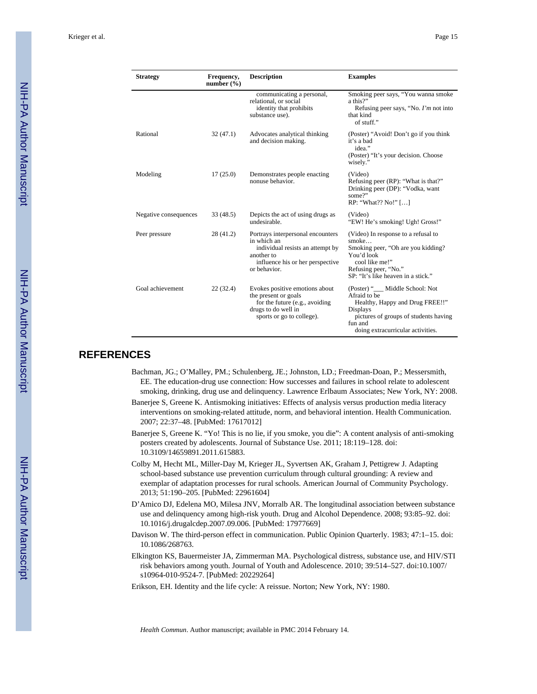| <b>Strategy</b>       | Frequency,<br>number $(\% )$ | <b>Description</b>                                                                                                                                     | <b>Examples</b>                                                                                                                                                                         |
|-----------------------|------------------------------|--------------------------------------------------------------------------------------------------------------------------------------------------------|-----------------------------------------------------------------------------------------------------------------------------------------------------------------------------------------|
|                       |                              | communicating a personal,<br>relational, or social<br>identity that prohibits<br>substance use).                                                       | Smoking peer says, "You wanna smoke<br>a this?"<br>Refusing peer says, "No. $\Gamma m$ not into<br>that kind<br>of stuff."                                                              |
| Rational              | 32(47.1)                     | Advocates analytical thinking<br>and decision making.                                                                                                  | (Poster) "Avoid! Don't go if you think<br>it's a bad<br>idea."<br>(Poster) "It's your decision. Choose<br>wisely."                                                                      |
| Modeling              | 17(25.0)                     | Demonstrates people enacting<br>nonuse behavior.                                                                                                       | (Video)<br>Refusing peer (RP): "What is that?"<br>Drinking peer (DP): "Vodka, want<br>some?"<br>RP: "What?? No!" []                                                                     |
| Negative consequences | 33(48.5)                     | Depicts the act of using drugs as<br>undesirable                                                                                                       | (Video)<br>"EW! He's smoking! Ugh! Gross!"                                                                                                                                              |
| Peer pressure         | 28 (41.2)                    | Portrays interpersonal encounters<br>in which an<br>individual resists an attempt by<br>another to<br>influence his or her perspective<br>or behavior. | (Video) In response to a refusal to<br>smoke<br>Smoking peer, "Oh are you kidding?<br>You'd look<br>cool like me!"<br>Refusing peer, "No."<br>SP: "It's like heaven in a stick."        |
| Goal achievement      | 22(32.4)                     | Evokes positive emotions about<br>the present or goals<br>for the future (e.g., avoiding<br>drugs to do well in<br>sports or go to college).           | (Poster) "__ Middle School: Not<br>Afraid to be<br>Healthy, Happy and Drug FREE!!"<br>Displays<br>pictures of groups of students having<br>fun and<br>doing extracurricular activities. |

#### **REFERENCES**

- Bachman, JG.; O'Malley, PM.; Schulenberg, JE.; Johnston, LD.; Freedman-Doan, P.; Messersmith, EE. The education-drug use connection: How successes and failures in school relate to adolescent smoking, drinking, drug use and delinquency. Lawrence Erlbaum Associates; New York, NY: 2008.
- Banerjee S, Greene K. Antismoking initiatives: Effects of analysis versus production media literacy interventions on smoking-related attitude, norm, and behavioral intention. Health Communication. 2007; 22:37–48. [PubMed: 17617012]
- Banerjee S, Greene K. "Yo! This is no lie, if you smoke, you die": A content analysis of anti-smoking posters created by adolescents. Journal of Substance Use. 2011; 18:119–128. doi: 10.3109/14659891.2011.615883.
- Colby M, Hecht ML, Miller-Day M, Krieger JL, Syvertsen AK, Graham J, Pettigrew J. Adapting school-based substance use prevention curriculum through cultural grounding: A review and exemplar of adaptation processes for rural schools. American Journal of Community Psychology. 2013; 51:190–205. [PubMed: 22961604]
- D'Amico DJ, Edelena MO, Milesa JNV, Morralb AR. The longitudinal association between substance use and delinquency among high-risk youth. Drug and Alcohol Dependence. 2008; 93:85–92. doi: 10.1016/j.drugalcdep.2007.09.006. [PubMed: 17977669]
- Davison W. The third-person effect in communication. Public Opinion Quarterly. 1983; 47:1–15. doi: 10.1086/268763.
- Elkington KS, Bauermeister JA, Zimmerman MA. Psychological distress, substance use, and HIV/STI risk behaviors among youth. Journal of Youth and Adolescence. 2010; 39:514–527. doi:10.1007/ s10964-010-9524-7. [PubMed: 20229264]
- Erikson, EH. Identity and the life cycle: A reissue. Norton; New York, NY: 1980.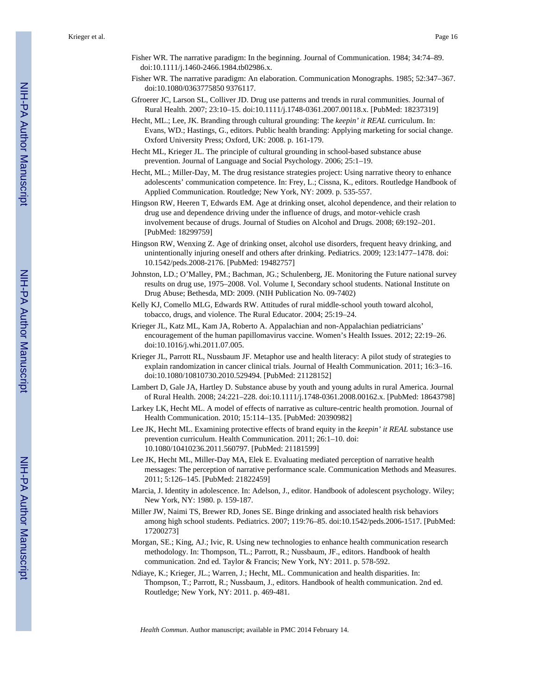- Fisher WR. The narrative paradigm: In the beginning. Journal of Communication. 1984; 34:74–89. doi:10.1111/j.1460-2466.1984.tb02986.x.
- Fisher WR. The narrative paradigm: An elaboration. Communication Monographs. 1985; 52:347–367. doi:10.1080/0363775850 9376117.
- Gfroerer JC, Larson SL, Colliver JD. Drug use patterns and trends in rural communities. Journal of Rural Health. 2007; 23:10–15. doi:10.1111/j.1748-0361.2007.00118.x. [PubMed: 18237319]
- Hecht, ML.; Lee, JK. Branding through cultural grounding: The *keepin' it REAL* curriculum. In: Evans, WD.; Hastings, G., editors. Public health branding: Applying marketing for social change. Oxford University Press; Oxford, UK: 2008. p. 161-179.
- Hecht ML, Krieger JL. The principle of cultural grounding in school-based substance abuse prevention. Journal of Language and Social Psychology. 2006; 25:1–19.
- Hecht, ML.; Miller-Day, M. The drug resistance strategies project: Using narrative theory to enhance adolescents' communication competence. In: Frey, L.; Cissna, K., editors. Routledge Handbook of Applied Communication. Routledge; New York, NY: 2009. p. 535-557.
- Hingson RW, Heeren T, Edwards EM. Age at drinking onset, alcohol dependence, and their relation to drug use and dependence driving under the influence of drugs, and motor-vehicle crash involvement because of drugs. Journal of Studies on Alcohol and Drugs. 2008; 69:192–201. [PubMed: 18299759]
- Hingson RW, Wenxing Z. Age of drinking onset, alcohol use disorders, frequent heavy drinking, and unintentionally injuring oneself and others after drinking. Pediatrics. 2009; 123:1477–1478. doi: 10.1542/peds.2008-2176. [PubMed: 19482757]
- Johnston, LD.; O'Malley, PM.; Bachman, JG.; Schulenberg, JE. Monitoring the Future national survey results on drug use, 1975–2008. Vol. Volume I, Secondary school students. National Institute on Drug Abuse; Bethesda, MD: 2009. (NIH Publication No. 09-7402)
- Kelly KJ, Comello MLG, Edwards RW. Attitudes of rural middle-school youth toward alcohol, tobacco, drugs, and violence. The Rural Educator. 2004; 25:19–24.
- Krieger JL, Katz ML, Kam JA, Roberto A. Appalachian and non-Appalachian pediatricians' encouragement of the human papillomavirus vaccine. Women's Health Issues. 2012; 22:19–26. doi:10.1016/j.whi.2011.07.005.
- Krieger JL, Parrott RL, Nussbaum JF. Metaphor use and health literacy: A pilot study of strategies to explain randomization in cancer clinical trials. Journal of Health Communication. 2011; 16:3–16. doi:10.1080/10810730.2010.529494. [PubMed: 21128152]
- Lambert D, Gale JA, Hartley D. Substance abuse by youth and young adults in rural America. Journal of Rural Health. 2008; 24:221–228. doi:10.1111/j.1748-0361.2008.00162.x. [PubMed: 18643798]
- Larkey LK, Hecht ML. A model of effects of narrative as culture-centric health promotion. Journal of Health Communication. 2010; 15:114–135. [PubMed: 20390982]
- Lee JK, Hecht ML. Examining protective effects of brand equity in the *keepin' it REAL* substance use prevention curriculum. Health Communication. 2011; 26:1–10. doi: 10.1080/10410236.2011.560797. [PubMed: 21181599]
- Lee JK, Hecht ML, Miller-Day MA, Elek E. Evaluating mediated perception of narrative health messages: The perception of narrative performance scale. Communication Methods and Measures. 2011; 5:126–145. [PubMed: 21822459]
- Marcia, J. Identity in adolescence. In: Adelson, J., editor. Handbook of adolescent psychology. Wiley; New York, NY: 1980. p. 159-187.
- Miller JW, Naimi TS, Brewer RD, Jones SE. Binge drinking and associated health risk behaviors among high school students. Pediatrics. 2007; 119:76–85. doi:10.1542/peds.2006-1517. [PubMed: 17200273]
- Morgan, SE.; King, AJ.; Ivic, R. Using new technologies to enhance health communication research methodology. In: Thompson, TL.; Parrott, R.; Nussbaum, JF., editors. Handbook of health communication. 2nd ed. Taylor & Francis; New York, NY: 2011. p. 578-592.
- Ndiaye, K.; Krieger, JL.; Warren, J.; Hecht, ML. Communication and health disparities. In: Thompson, T.; Parrott, R.; Nussbaum, J., editors. Handbook of health communication. 2nd ed. Routledge; New York, NY: 2011. p. 469-481.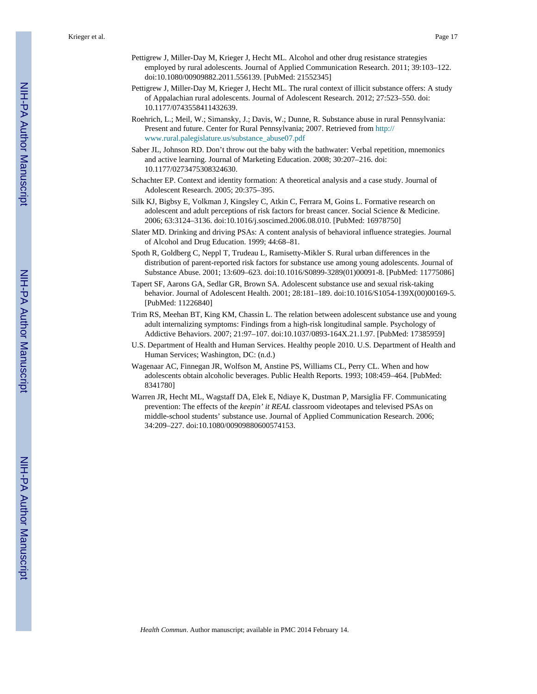- Pettigrew J, Miller-Day M, Krieger J, Hecht ML. Alcohol and other drug resistance strategies employed by rural adolescents. Journal of Applied Communication Research. 2011; 39:103–122. doi:10.1080/00909882.2011.556139. [PubMed: 21552345]
- Pettigrew J, Miller-Day M, Krieger J, Hecht ML. The rural context of illicit substance offers: A study of Appalachian rural adolescents. Journal of Adolescent Research. 2012; 27:523–550. doi: 10.1177/0743558411432639.
- Roehrich, L.; Meil, W.; Simansky, J.; Davis, W.; Dunne, R. Substance abuse in rural Pennsylvania: Present and future. Center for Rural Pennsylvania; 2007. Retrieved from [http://](http://www.rural.palegislature.us/substance_abuse07.pdf) [www.rural.palegislature.us/substance\\_abuse07.pdf](http://www.rural.palegislature.us/substance_abuse07.pdf)
- Saber JL, Johnson RD. Don't throw out the baby with the bathwater: Verbal repetition, mnemonics and active learning. Journal of Marketing Education. 2008; 30:207–216. doi: 10.1177/0273475308324630.
- Schachter EP. Context and identity formation: A theoretical analysis and a case study. Journal of Adolescent Research. 2005; 20:375–395.
- Silk KJ, Bigbsy E, Volkman J, Kingsley C, Atkin C, Ferrara M, Goins L. Formative research on adolescent and adult perceptions of risk factors for breast cancer. Social Science & Medicine. 2006; 63:3124–3136. doi:10.1016/j.soscimed.2006.08.010. [PubMed: 16978750]
- Slater MD. Drinking and driving PSAs: A content analysis of behavioral influence strategies. Journal of Alcohol and Drug Education. 1999; 44:68–81.
- Spoth R, Goldberg C, Neppl T, Trudeau L, Ramisetty-Mikler S. Rural urban differences in the distribution of parent-reported risk factors for substance use among young adolescents. Journal of Substance Abuse. 2001; 13:609–623. doi:10.1016/S0899-3289(01)00091-8. [PubMed: 11775086]
- Tapert SF, Aarons GA, Sedlar GR, Brown SA. Adolescent substance use and sexual risk-taking behavior. Journal of Adolescent Health. 2001; 28:181–189. doi:10.1016/S1054-139X(00)00169-5. [PubMed: 11226840]
- Trim RS, Meehan BT, King KM, Chassin L. The relation between adolescent substance use and young adult internalizing symptoms: Findings from a high-risk longitudinal sample. Psychology of Addictive Behaviors. 2007; 21:97–107. doi:10.1037/0893-164X.21.1.97. [PubMed: 17385959]
- U.S. Department of Health and Human Services. Healthy people 2010. U.S. Department of Health and Human Services; Washington, DC: (n.d.)
- Wagenaar AC, Finnegan JR, Wolfson M, Anstine PS, Williams CL, Perry CL. When and how adolescents obtain alcoholic beverages. Public Health Reports. 1993; 108:459–464. [PubMed: 8341780]
- Warren JR, Hecht ML, Wagstaff DA, Elek E, Ndiaye K, Dustman P, Marsiglia FF. Communicating prevention: The effects of the *keepin' it REAL* classroom videotapes and televised PSAs on middle-school students' substance use. Journal of Applied Communication Research. 2006; 34:209–227. doi:10.1080/00909880600574153.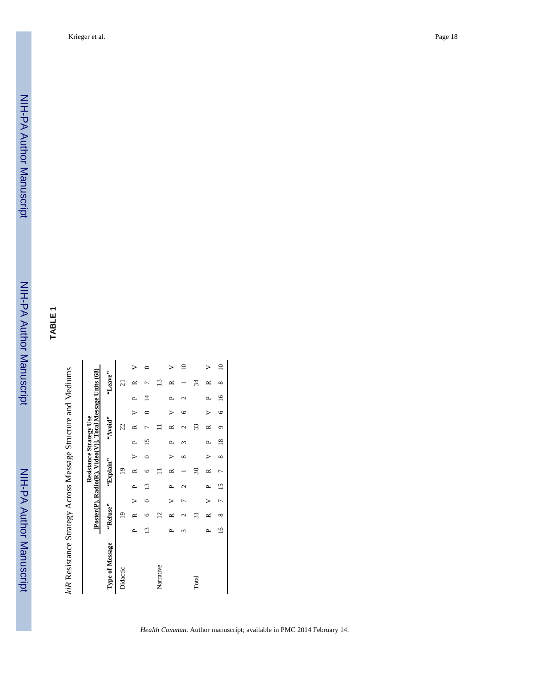NIH-PA Author ManuscriptNIH-PA Author Manuscript

NIH-PA Author Manuscript

NIH-PA Author Manuscript

|                 |             | Poster(P), Radio(R), Video(V)], Total Message Units (68) |   |                |                |          | Resistance Strategy Use |               |    |   |                |              |
|-----------------|-------------|----------------------------------------------------------|---|----------------|----------------|----------|-------------------------|---------------|----|---|----------------|--------------|
| Type of Message |             | "Refuse"                                                 |   |                | "Explain"      |          |                         | "Avoid"       |    |   | "Leave"        |              |
| Didactic        |             | $\overline{9}$                                           |   |                | $\overline{9}$ |          |                         | 22            |    |   | $\overline{c}$ |              |
|                 | ≏           |                                                          |   |                |                |          |                         |               |    | ≏ |                |              |
|                 | ≌           |                                                          |   | س              | ١r             |          |                         |               |    | 4 |                |              |
| Narrative       |             | $\overline{2}$                                           |   |                |                |          |                         |               |    |   | Ľ              |              |
|                 | ≏           | ≃                                                        |   | ≏              | ≃              |          | ≏                       |               |    | Δ | ≃              |              |
|                 |             | Ń<br>٢                                                   | r | c              |                | ∝        |                         | $\mathcal{L}$ | ७  |   |                | $\Xi$        |
| Total           |             | ಸ                                                        |   |                | $\approx$      |          |                         | 33            |    |   | 34             |              |
|                 | Δ,          | ≃                                                        |   |                | R              |          |                         | $\approx$     |    |   | ≃              |              |
|                 | $\tilde{=}$ | $\infty$                                                 | t | $\overline{5}$ | ŗ              | $\infty$ | $\infty$                | σ             | ١c | ٵ | $\infty$       | $\mathsf{D}$ |